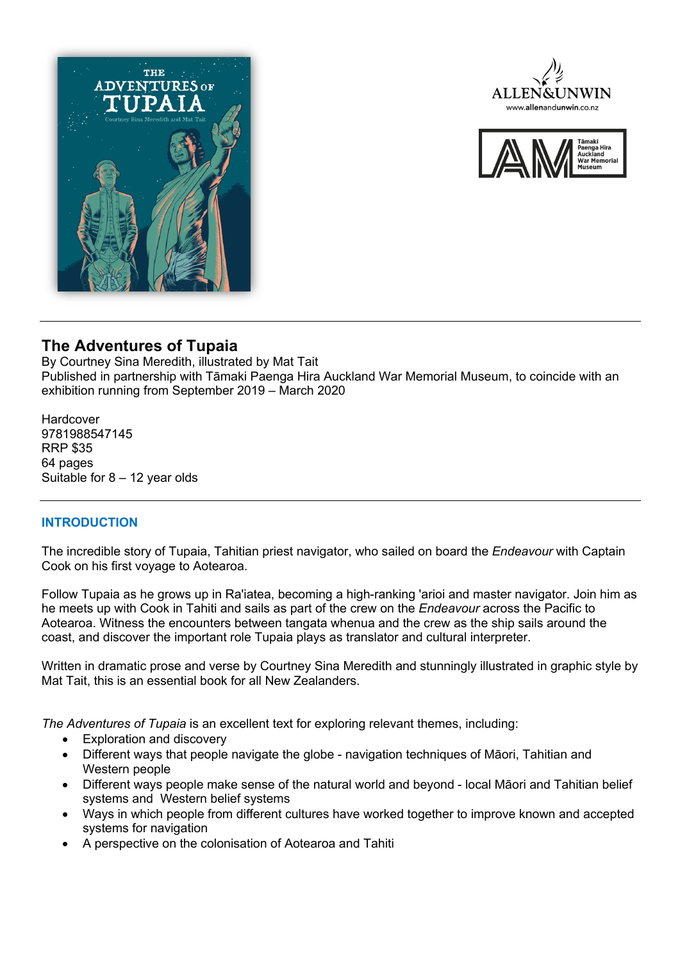





# **The Adventures of Tupaia**

By Courtney Sina Meredith, illustrated by Mat Tait Published in partnership with Tāmaki Paenga Hira Auckland War Memorial Museum, to coincide with an exhibition running from September 2019 – March 2020

Hardcover 9781988547145 RRP \$35 64 pages Suitable for  $8 - 12$  year olds

# **INTRODUCTION**

The incredible story of Tupaia, Tahitian priest navigator, who sailed on board the *Endeavour* with Captain Cook on his first voyage to Aotearoa.

Follow Tupaia as he grows up in Ra'iatea, becoming a high-ranking 'arioi and master navigator. Join him as he meets up with Cook in Tahiti and sails as part of the crew on the *Endeavour* across the Pacific to Aotearoa. Witness the encounters between tangata whenua and the crew as the ship sails around the coast, and discover the important role Tupaia plays as translator and cultural interpreter.

Written in dramatic prose and verse by Courtney Sina Meredith and stunningly illustrated in graphic style by Mat Tait, this is an essential book for all New Zealanders.

*The Adventures of Tupaia* is an excellent text for exploring relevant themes, including:

- Exploration and discovery
- Different ways that people navigate the globe navigation techniques of Māori, Tahitian and Western people
- Different ways people make sense of the natural world and beyond local Māori and Tahitian belief systems and Western belief systems
- Ways in which people from different cultures have worked together to improve known and accepted systems for navigation
- A perspective on the colonisation of Aotearoa and Tahiti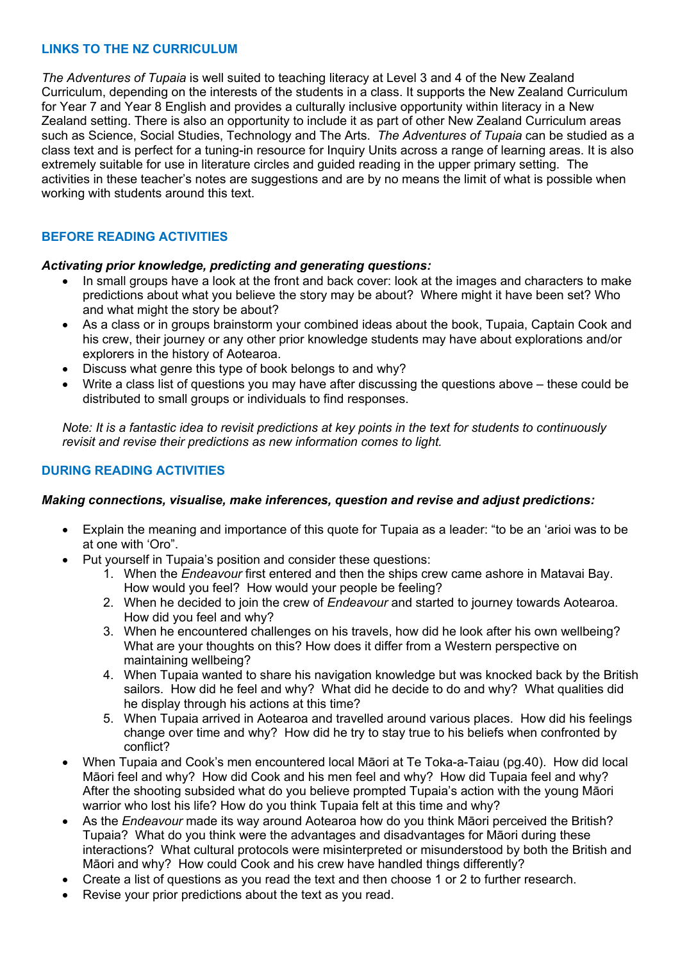## **LINKS TO THE NZ CURRICULUM**

*The Adventures of Tupaia* is well suited to teaching literacy at Level 3 and 4 of the New Zealand Curriculum, depending on the interests of the students in a class. It supports the New Zealand Curriculum for Year 7 and Year 8 English and provides a culturally inclusive opportunity within literacy in a New Zealand setting. There is also an opportunity to include it as part of other New Zealand Curriculum areas such as Science, Social Studies, Technology and The Arts. *The Adventures of Tupaia* can be studied as a class text and is perfect for a tuning-in resource for Inquiry Units across a range of learning areas. It is also extremely suitable for use in literature circles and guided reading in the upper primary setting. The activities in these teacher's notes are suggestions and are by no means the limit of what is possible when working with students around this text.

# **BEFORE READING ACTIVITIES**

#### *Activating prior knowledge, predicting and generating questions:*

- In small groups have a look at the front and back cover: look at the images and characters to make predictions about what you believe the story may be about? Where might it have been set? Who and what might the story be about?
- As a class or in groups brainstorm your combined ideas about the book, Tupaia, Captain Cook and his crew, their journey or any other prior knowledge students may have about explorations and/or explorers in the history of Aotearoa.
- Discuss what genre this type of book belongs to and why?
- Write a class list of questions you may have after discussing the questions above these could be distributed to small groups or individuals to find responses.

*Note: It is a fantastic idea to revisit predictions at key points in the text for students to continuously revisit and revise their predictions as new information comes to light.*

## **DURING READING ACTIVITIES**

#### *Making connections, visualise, make inferences, question and revise and adjust predictions:*

- Explain the meaning and importance of this quote for Tupaia as a leader: "to be an 'arioi was to be at one with 'Oro".
- Put yourself in Tupaia's position and consider these questions:
	- 1. When the *Endeavour* first entered and then the ships crew came ashore in Matavai Bay. How would you feel? How would your people be feeling?
	- 2. When he decided to join the crew of *Endeavour* and started to journey towards Aotearoa. How did you feel and why?
	- 3. When he encountered challenges on his travels, how did he look after his own wellbeing? What are your thoughts on this? How does it differ from a Western perspective on maintaining wellbeing?
	- 4. When Tupaia wanted to share his navigation knowledge but was knocked back by the British sailors. How did he feel and why? What did he decide to do and why? What qualities did he display through his actions at this time?
	- 5. When Tupaia arrived in Aotearoa and travelled around various places. How did his feelings change over time and why? How did he try to stay true to his beliefs when confronted by conflict?
- When Tupaia and Cook's men encountered local Māori at Te Toka-a-Taiau (pg.40). How did local Māori feel and why? How did Cook and his men feel and why? How did Tupaia feel and why? After the shooting subsided what do you believe prompted Tupaia's action with the young Māori warrior who lost his life? How do you think Tupaia felt at this time and why?
- As the *Endeavour* made its way around Aotearoa how do you think Māori perceived the British? Tupaia? What do you think were the advantages and disadvantages for Māori during these interactions? What cultural protocols were misinterpreted or misunderstood by both the British and Māori and why? How could Cook and his crew have handled things differently?
- Create a list of questions as you read the text and then choose 1 or 2 to further research.
- Revise your prior predictions about the text as you read.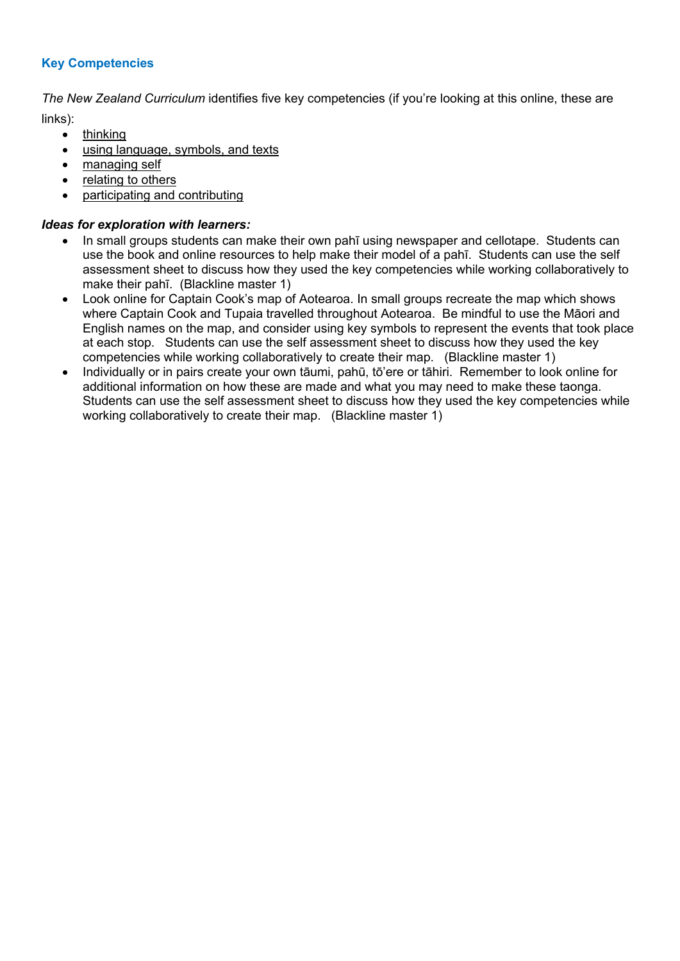# **Key Competencies**

*The New Zealand Curriculum* identifies five key competencies (if you're looking at this online, these are links):

- thinking
	- using language, symbols, and texts
	- managing self
	- relating to others
	- participating and contributing

## *Ideas for exploration with learners:*

- In small groups students can make their own pahī using newspaper and cellotape. Students can use the book and online resources to help make their model of a pahī. Students can use the self assessment sheet to discuss how they used the key competencies while working collaboratively to make their pahī. (Blackline master 1)
- Look online for Captain Cook's map of Aotearoa. In small groups recreate the map which shows where Captain Cook and Tupaia travelled throughout Aotearoa. Be mindful to use the Māori and English names on the map, and consider using key symbols to represent the events that took place at each stop. Students can use the self assessment sheet to discuss how they used the key competencies while working collaboratively to create their map. (Blackline master 1)
- Individually or in pairs create your own tāumi, pahū, tō'ere or tāhiri. Remember to look online for additional information on how these are made and what you may need to make these taonga. Students can use the self assessment sheet to discuss how they used the key competencies while working collaboratively to create their map. (Blackline master 1)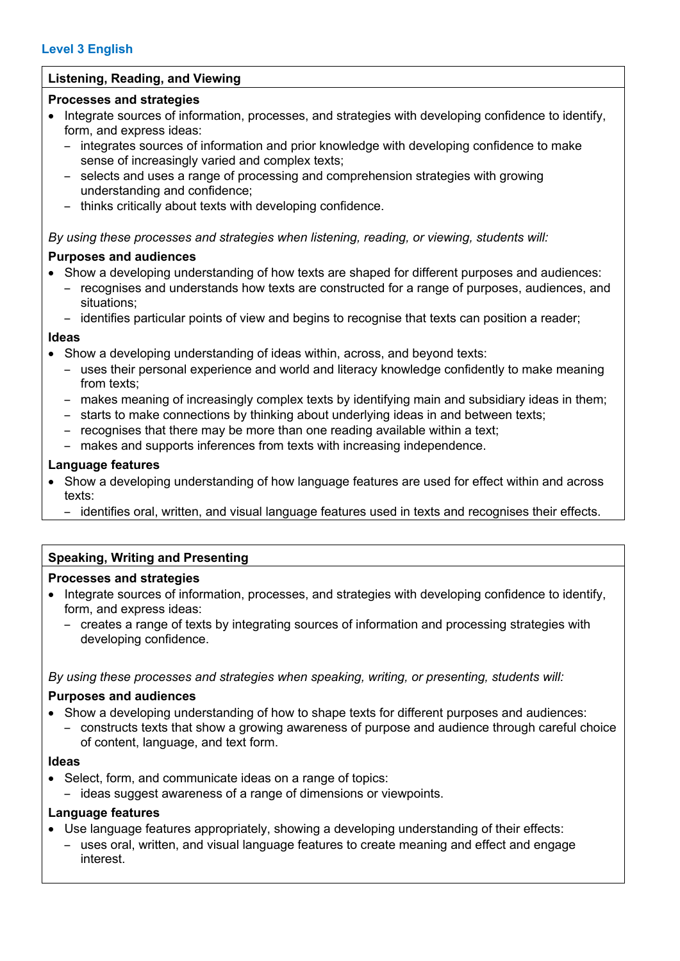# **Listening, Reading, and Viewing**

## **Processes and strategies**

- Integrate sources of information, processes, and strategies with developing confidence to identify, form, and express ideas:
	- integrates sources of information and prior knowledge with developing confidence to make sense of increasingly varied and complex texts;
	- selects and uses a range of processing and comprehension strategies with growing understanding and confidence;
	- thinks critically about texts with developing confidence.

## *By using these processes and strategies when listening, reading, or viewing, students will:*

## **Purposes and audiences**

- Show a developing understanding of how texts are shaped for different purposes and audiences:
	- recognises and understands how texts are constructed for a range of purposes, audiences, and situations;
	- identifies particular points of view and begins to recognise that texts can position a reader;

## **Ideas**

- Show a developing understanding of ideas within, across, and beyond texts:
	- uses their personal experience and world and literacy knowledge confidently to make meaning from texts;
	- makes meaning of increasingly complex texts by identifying main and subsidiary ideas in them;
	- starts to make connections by thinking about underlying ideas in and between texts;
	- recognises that there may be more than one reading available within a text;
	- makes and supports inferences from texts with increasing independence.

## **Language features**

- Show a developing understanding of how language features are used for effect within and across texts:
	- identifies oral, written, and visual language features used in texts and recognises their effects.

# **Speaking, Writing and Presenting**

## **Processes and strategies**

- Integrate sources of information, processes, and strategies with developing confidence to identify, form, and express ideas:
	- creates a range of texts by integrating sources of information and processing strategies with developing confidence.

*By using these processes and strategies when speaking, writing, or presenting, students will:*

## **Purposes and audiences**

- Show a developing understanding of how to shape texts for different purposes and audiences:
	- constructs texts that show a growing awareness of purpose and audience through careful choice of content, language, and text form.

## **Ideas**

- Select, form, and communicate ideas on a range of topics:
	- ideas suggest awareness of a range of dimensions or viewpoints.

## **Language features**

- Use language features appropriately, showing a developing understanding of their effects:
	- uses oral, written, and visual language features to create meaning and effect and engage interest.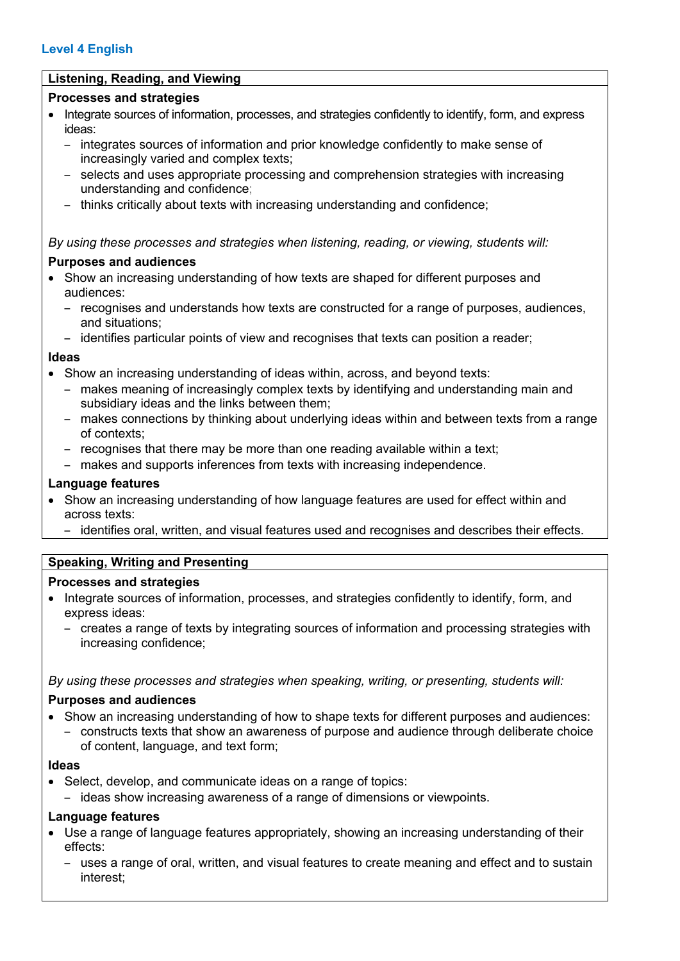# **Level 4 English**

## **Listening, Reading, and Viewing**

## **Processes and strategies**

- Integrate sources of information, processes, and strategies confidently to identify, form, and express ideas:
	- integrates sources of information and prior knowledge confidently to make sense of increasingly varied and complex texts;
	- selects and uses appropriate processing and comprehension strategies with increasing understanding and confidence;
	- thinks critically about texts with increasing understanding and confidence;

#### *By using these processes and strategies when listening, reading, or viewing, students will:*

#### **Purposes and audiences**

- Show an increasing understanding of how texts are shaped for different purposes and audiences:
	- recognises and understands how texts are constructed for a range of purposes, audiences, and situations;
	- identifies particular points of view and recognises that texts can position a reader;

#### **Ideas**

- Show an increasing understanding of ideas within, across, and beyond texts:
	- makes meaning of increasingly complex texts by identifying and understanding main and subsidiary ideas and the links between them;
	- makes connections by thinking about underlying ideas within and between texts from a range of contexts;
	- recognises that there may be more than one reading available within a text;
	- makes and supports inferences from texts with increasing independence.

#### **Language features**

- Show an increasing understanding of how language features are used for effect within and across texts:
	- identifies oral, written, and visual features used and recognises and describes their effects.

## **Speaking, Writing and Presenting**

#### **Processes and strategies**

- Integrate sources of information, processes, and strategies confidently to identify, form, and express ideas:
	- creates a range of texts by integrating sources of information and processing strategies with increasing confidence;

*By using these processes and strategies when speaking, writing, or presenting, students will:*

#### **Purposes and audiences**

- Show an increasing understanding of how to shape texts for different purposes and audiences:
	- constructs texts that show an awareness of purpose and audience through deliberate choice of content, language, and text form;

#### **Ideas**

• Select, develop, and communicate ideas on a range of topics:

– ideas show increasing awareness of a range of dimensions or viewpoints.

#### **Language features**

- Use a range of language features appropriately, showing an increasing understanding of their effects:
	- uses a range of oral, written, and visual features to create meaning and effect and to sustain interest;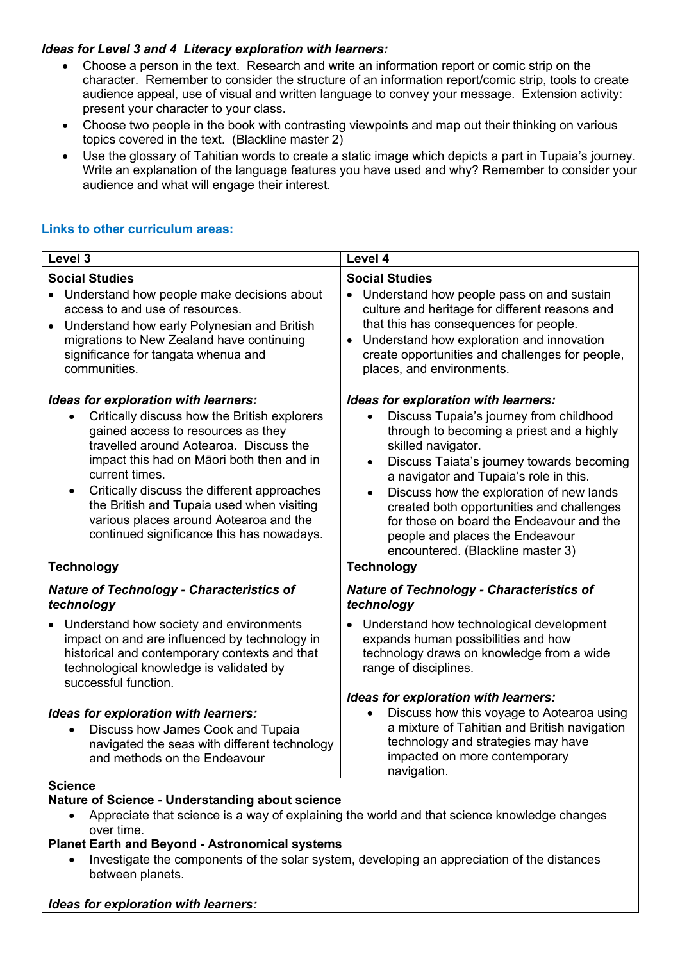## *Ideas for Level 3 and 4 Literacy exploration with learners:*

- Choose a person in the text. Research and write an information report or comic strip on the character. Remember to consider the structure of an information report/comic strip, tools to create audience appeal, use of visual and written language to convey your message. Extension activity: present your character to your class.
- Choose two people in the book with contrasting viewpoints and map out their thinking on various topics covered in the text. (Blackline master 2)
- Use the glossary of Tahitian words to create a static image which depicts a part in Tupaia's journey. Write an explanation of the language features you have used and why? Remember to consider your audience and what will engage their interest.

# **Links to other curriculum areas:**

| Level 3                                          | Level 4                                          |
|--------------------------------------------------|--------------------------------------------------|
| <b>Social Studies</b>                            | <b>Social Studies</b>                            |
| • Understand how people make decisions about     | • Understand how people pass on and sustain      |
| access to and use of resources.                  | culture and heritage for different reasons and   |
| Understand how early Polynesian and British      | that this has consequences for people.           |
| $\bullet$                                        | Understand how exploration and innovation        |
| migrations to New Zealand have continuing        | $\bullet$                                        |
| significance for tangata whenua and              | create opportunities and challenges for people,  |
| communities.                                     | places, and environments.                        |
| Ideas for exploration with learners:             | Ideas for exploration with learners:             |
| Critically discuss how the British explorers     | Discuss Tupaia's journey from childhood          |
| $\bullet$                                        | through to becoming a priest and a highly        |
| gained access to resources as they               | skilled navigator.                               |
| travelled around Aotearoa. Discuss the           | Discuss Taiata's journey towards becoming        |
| impact this had on Māori both then and in        | $\bullet$                                        |
| current times.                                   | a navigator and Tupaia's role in this.           |
| Critically discuss the different approaches      | Discuss how the exploration of new lands         |
| $\bullet$                                        | created both opportunities and challenges        |
| the British and Tupaia used when visiting        | for those on board the Endeavour and the         |
| various places around Aotearoa and the           | people and places the Endeavour                  |
| continued significance this has nowadays.        | encountered. (Blackline master 3)                |
| <b>Technology</b>                                | <b>Technology</b>                                |
| <b>Nature of Technology - Characteristics of</b> | <b>Nature of Technology - Characteristics of</b> |
| technology                                       | technology                                       |
| Understand how society and environments          | Understand how technological development         |
| $\bullet$                                        | $\bullet$                                        |
| impact on and are influenced by technology in    | expands human possibilities and how              |
| historical and contemporary contexts and that    | technology draws on knowledge from a wide        |
| technological knowledge is validated by          | range of disciplines.                            |
| successful function.                             | Ideas for exploration with learners:             |
| Ideas for exploration with learners:             | Discuss how this voyage to Aotearoa using        |
| Discuss how James Cook and Tupaia                | a mixture of Tahitian and British navigation     |
| navigated the seas with different technology     | technology and strategies may have               |
| and methods on the Endeavour                     | impacted on more contemporary                    |
| Science                                          | navigation.                                      |

### **Science**

## **Nature of Science - Understanding about science**

• Appreciate that science is a way of explaining the world and that science knowledge changes over time.

## **Planet Earth and Beyond - Astronomical systems**

• Investigate the components of the solar system, developing an appreciation of the distances between planets.

#### *Ideas for exploration with learners:*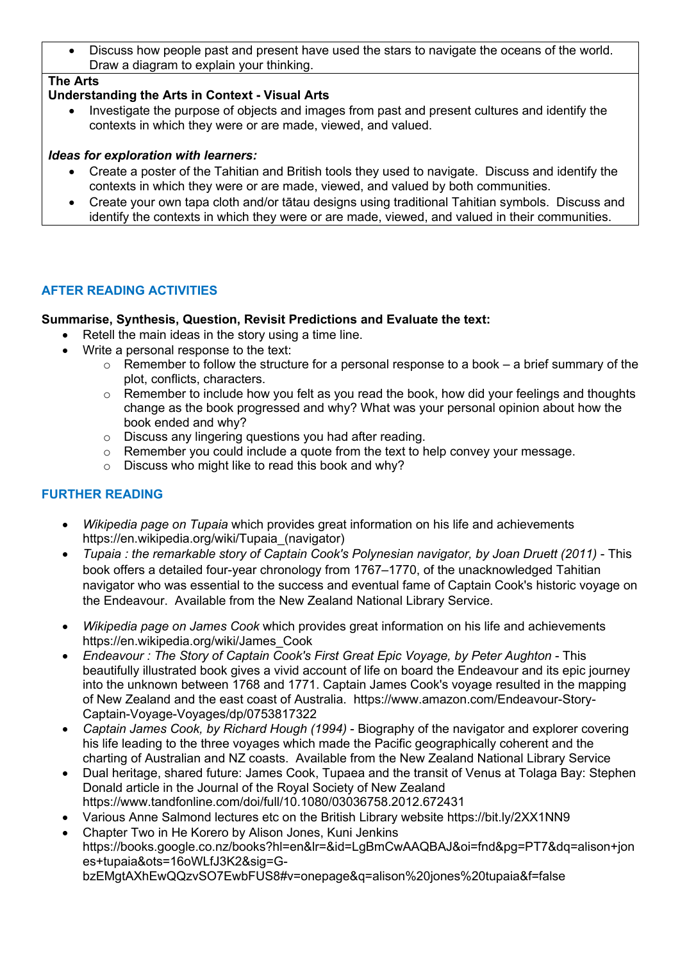• Discuss how people past and present have used the stars to navigate the oceans of the world. Draw a diagram to explain your thinking.

# **The Arts**

# **Understanding the Arts in Context - Visual Arts**

• Investigate the purpose of objects and images from past and present cultures and identify the contexts in which they were or are made, viewed, and valued.

## *Ideas for exploration with learners:*

- Create a poster of the Tahitian and British tools they used to navigate. Discuss and identify the contexts in which they were or are made, viewed, and valued by both communities.
- Create your own tapa cloth and/or tātau designs using traditional Tahitian symbols. Discuss and identify the contexts in which they were or are made, viewed, and valued in their communities.

# **AFTER READING ACTIVITIES**

# **Summarise, Synthesis, Question, Revisit Predictions and Evaluate the text:**

- Retell the main ideas in the story using a time line.
- Write a personal response to the text:
	- $\circ$  Remember to follow the structure for a personal response to a book a brief summary of the plot, conflicts, characters.
	- o Remember to include how you felt as you read the book, how did your feelings and thoughts change as the book progressed and why? What was your personal opinion about how the book ended and why?
	- o Discuss any lingering questions you had after reading.
	- $\circ$  Remember you could include a quote from the text to help convey your message.
	- o Discuss who might like to read this book and why?

# **FURTHER READING**

- *Wikipedia page on Tupaia* which provides great information on his life and achievements https://en.wikipedia.org/wiki/Tupaia\_(navigator)
- *Tupaia : the remarkable story of Captain Cook's Polynesian navigator, by Joan Druett (2011)* This book offers a detailed four-year chronology from 1767–1770, of the unacknowledged Tahitian navigator who was essential to the success and eventual fame of Captain Cook's historic voyage on the Endeavour. Available from the New Zealand National Library Service.
- *Wikipedia page on James Cook* which provides great information on his life and achievements https://en.wikipedia.org/wiki/James\_Cook
- *Endeavour : The Story of Captain Cook's First Great Epic Voyage, by Peter Aughton* This beautifully illustrated book gives a vivid account of life on board the Endeavour and its epic journey into the unknown between 1768 and 1771. Captain James Cook's voyage resulted in the mapping of New Zealand and the east coast of Australia. https://www.amazon.com/Endeavour-Story-Captain-Voyage-Voyages/dp/0753817322
- *Captain James Cook, by Richard Hough (1994)* Biography of the navigator and explorer covering his life leading to the three voyages which made the Pacific geographically coherent and the charting of Australian and NZ coasts. Available from the New Zealand National Library Service
- Dual heritage, shared future: James Cook, Tupaea and the transit of Venus at Tolaga Bay: Stephen Donald article in the Journal of the Royal Society of New Zealand https://www.tandfonline.com/doi/full/10.1080/03036758.2012.672431
- Various Anne Salmond lectures etc on the British Library website https://bit.ly/2XX1NN9
- Chapter Two in He Korero by Alison Jones, Kuni Jenkins https://books.google.co.nz/books?hl=en&lr=&id=LgBmCwAAQBAJ&oi=fnd&pg=PT7&dq=alison+jon es+tupaia&ots=16oWLfJ3K2&sig=GbzEMgtAXhEwQQzvSO7EwbFUS8#v=onepage&q=alison%20jones%20tupaia&f=false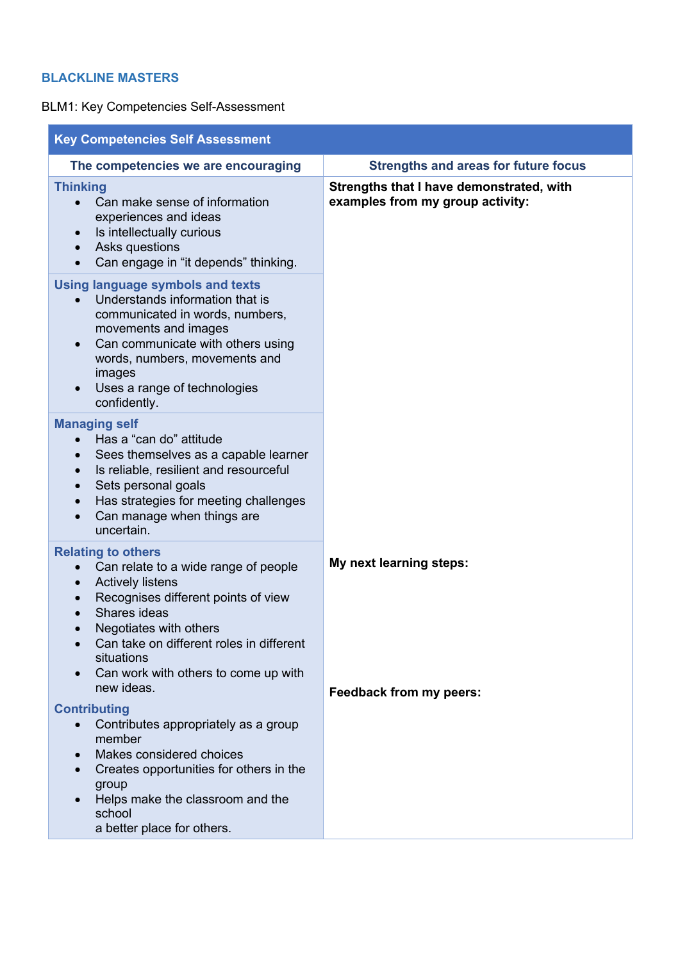# **BLACKLINE MASTERS**

BLM1: Key Competencies Self-Assessment

| <b>Key Competencies Self Assessment</b>                                                                                                                                                                                                                                                                                 |                                                                              |  |
|-------------------------------------------------------------------------------------------------------------------------------------------------------------------------------------------------------------------------------------------------------------------------------------------------------------------------|------------------------------------------------------------------------------|--|
| The competencies we are encouraging                                                                                                                                                                                                                                                                                     | <b>Strengths and areas for future focus</b>                                  |  |
| <b>Thinking</b><br>Can make sense of information<br>experiences and ideas<br>Is intellectually curious<br>$\bullet$<br>Asks questions<br>Can engage in "it depends" thinking.                                                                                                                                           | Strengths that I have demonstrated, with<br>examples from my group activity: |  |
| <b>Using language symbols and texts</b><br>Understands information that is<br>communicated in words, numbers,<br>movements and images<br>Can communicate with others using<br>$\bullet$<br>words, numbers, movements and<br>images<br>Uses a range of technologies<br>confidently.                                      |                                                                              |  |
| <b>Managing self</b><br>Has a "can do" attitude<br>Sees themselves as a capable learner<br>$\bullet$<br>Is reliable, resilient and resourceful<br>Sets personal goals<br>Has strategies for meeting challenges<br>Can manage when things are<br>uncertain.                                                              |                                                                              |  |
| <b>Relating to others</b><br>Can relate to a wide range of people<br>$\bullet$<br><b>Actively listens</b><br>$\bullet$<br>Recognises different points of view<br>Shares ideas<br>Negotiates with others<br>Can take on different roles in different<br>situations<br>Can work with others to come up with<br>new ideas. | My next learning steps:<br>Feedback from my peers:                           |  |
| <b>Contributing</b><br>Contributes appropriately as a group<br>member<br>Makes considered choices<br>Creates opportunities for others in the<br>group<br>Helps make the classroom and the<br>school<br>a better place for others.                                                                                       |                                                                              |  |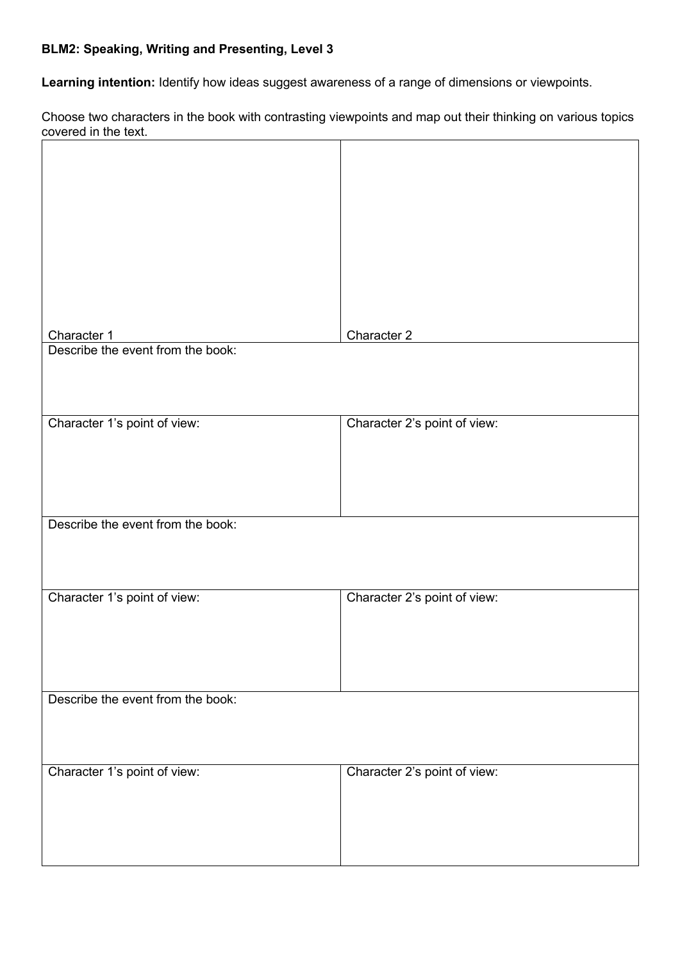# **BLM2: Speaking, Writing and Presenting, Level 3**

**Learning intention:** Identify how ideas suggest awareness of a range of dimensions or viewpoints.

Choose two characters in the book with contrasting viewpoints and map out their thinking on various topics covered in the text.

| Character 1                       | Character 2                  |
|-----------------------------------|------------------------------|
| Describe the event from the book: |                              |
|                                   |                              |
|                                   |                              |
|                                   |                              |
|                                   |                              |
| Character 1's point of view:      | Character 2's point of view: |
|                                   |                              |
|                                   |                              |
|                                   |                              |
|                                   |                              |
| Describe the event from the book: |                              |
|                                   |                              |
|                                   |                              |
|                                   |                              |
|                                   |                              |
| Character 1's point of view:      | Character 2's point of view: |
|                                   |                              |
|                                   |                              |
|                                   |                              |
|                                   |                              |
|                                   |                              |
| Describe the event from the book: |                              |
|                                   |                              |
|                                   |                              |
|                                   |                              |
| Character 1's point of view:      | Character 2's point of view: |
|                                   |                              |
|                                   |                              |
|                                   |                              |
|                                   |                              |
|                                   |                              |